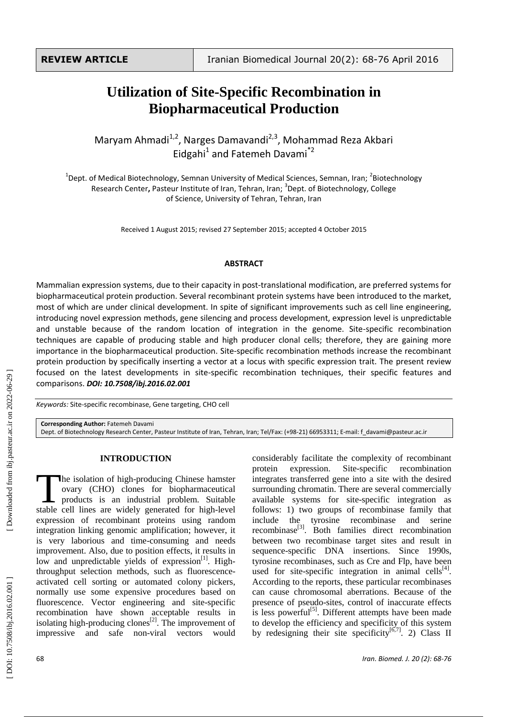# **Utilization of Site -Specific Recombination in Biopharmaceutical Production**

Maryam Ahmadi<sup>1,2</sup>, Narges Damavandi<sup>2,3</sup>, Mohammad Reza Akbari Eidgahi<sup>1</sup> and Fatemeh Davami<sup>\*2</sup>

<sup>1</sup>Dept. of Medical Biotechnology, Semnan University of Medical Sciences, Semnan, Iran; <sup>2</sup>Biotechnology Research Center**,** Pasteur Institute of Iran, Tehran, Iran; 3 Dept. of Biotechnology, College of Science, University of Tehran, Tehran, Iran

Received 1 August 2015; revised 27 September 2015; accepted 4 October 2015

#### **ABSTRACT**

Mammalian expression systems, due to their capacity in post-translational modification, are preferred systems for biopharmaceutical protein production. Several recombinant protein systems have been introduced to the market, most of which are under clinical development. In spite of significant improvements such as cell line engineering, introducing novel expression methods, gene silencing and process development, expression level is unpredictable and unstable because of the random location of integration in the genome. Site -specific recombination techniques are capable of producing stable and high producer clonal cells; therefore, they are gaining more importance in the biopharmaceutical production. Site -specific recombination methods increase the recombinant protein production by specifically inserting a vector at a locus with specific expression trait. The present review focused on the latest developments in site-specific recombination techniques, their specific features and comparisons . *DOI: 10 .7508/ibj.2016.02.001*

Keywords: Site-specific recombinase, Gene targeting, CHO cell

**Corresponding Author:** Fatemeh Davami Dept. of Biotechnology Research Center, Pasteur Institute of Iran, Tehran, Iran; Tel/Fax: (+98 -21) 66953311; E -mail: f\_davami@pasteur.ac.ir

#### **INTRODUCTION**

he isolation of high -producing Chinese hamster ovary (CHO) clones for biopharmaceutical products is an industrial problem. Suitable The isolation of high-producing Chinese hamster<br>
ovary (CHO) clones for biopharmaceutical<br>
products is an industrial problem. Suitable<br>
stable cell lines are widely generated for high-level expression of recombinant proteins using random integration linking genomic amplification; however, it is very laborious and time -consuming and needs improvement. Also, due to position effects, it results in low and unpredictable yields of expression<sup>[1]</sup>. Highthroughput selection methods , such as fluorescence activated cell sorting or automated colony pickers , normally use some expensive procedures based on fluorescence. Vector engineering and site -specific recombination have shown acceptable results in isolating high-producing clones $^{[2]}$ . The improvement of impressive and safe non-viral vectors would

considerably facilitate the complexity of recombinant protein expression Site-specific recombination integrates transferred gene into a site with the desired surrounding chromatin. There are several commercially available systems for site -specific integration as follows: 1) two groups of recombinase family that include the tyrosine recombinase and serine recombinase<sup>[3]</sup>. Both families direct recombination between two recombinase target sites and result in sequence -specific DNA insertions. Since 1990s, tyrosine recombinases, such as Cre and Flp, have been used for site-specific integration in animal cells $[4]$ . According to the reports, these particular recombinases can cause chromosomal aberrations. Because of the presence of pseudo -sites, control of inaccurate effects is less powerful<sup>[5]</sup>. Different attempts have been made to develop the efficiency and specificity of this system by redesigning their site specificity<sup>[6,7]</sup>. 2) Class II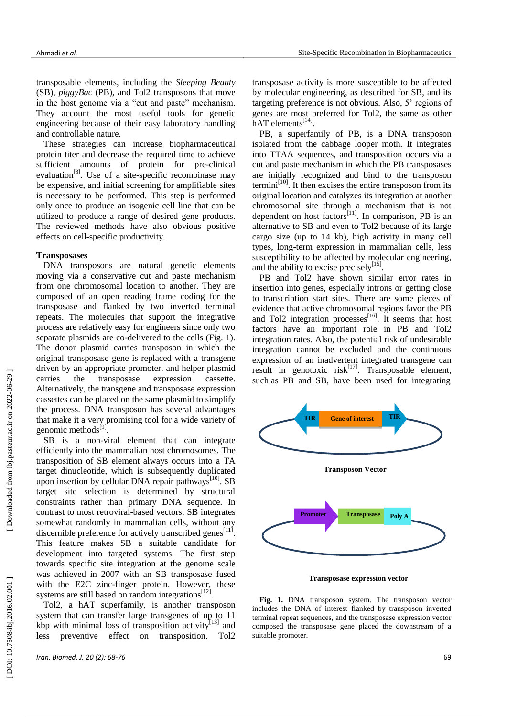transposable elements , including the *Sleeping Beauty* (SB), *piggyBac* (PB), and Tol2 transposons that move in the host genome via a "cut and paste" mechanism. They account the most useful tools for genetic engineering because of their easy laboratory handling and controllable nature.

These strategies can increase biopharmaceutical protein titer and decrease the required time to achieve sufficient amounts of protein for pre -clinical evaluation<sup>[8]</sup>. Use of a site-specific recombinase may be expensive , and initial screening for amplifiable sites is necessary to be performed. This step is performed only once to produce an isogenic cell line that can be utilized to produce a range of desired gene products. The reviewed methods have also obvious positive effects on cell -specific productivity.

#### **Transposases**

DNA transposons are natural genetic elements moving via a conservative cut and paste mechanism from one chromosomal location to another. They are composed of an open reading frame coding for the transposase and flanked by two inverted terminal repeats. The molecules that support the integrative process are relatively easy for engineers since only two separate plasmids are co -delivered to the cells (Fig. 1). The donor plasmid carries transposon in which the original transposase gene is replaced with a transgene driven by an appropriate promoter, and helper plasmid carries the transposase expression cassette. Alternatively, the transgene and transposase expression cassettes can be placed on the same plasmid to simplify the process. DNA transposon has several advantages that make it a very promising tool for a wide variety of genomic methods<sup>[9]</sup>.

SB is a non -viral element that can integrate efficiently into the mammalian host chromosomes. The transposition of SB element always occurs into a TA target dinucleotide, which is subsequently duplicated upon insertion by cellular DNA repair pathways $^{[10]}$ . SB target site selection is determined by structural constraints rather than primary DNA sequence. In contrast to most retroviral -based vectors, SB integrates somewhat randomly in mammalian cells, without any discernible preference for actively transcribed genes<sup>[11]</sup>. This feature makes SB a suitable candidate for development into targeted systems. The first step towards specific site integration at the genome scale was achieved in 2007 with an SB transposase fused with the E2C zinc -finger protein. However, these systems are still based on random integrations $^{[12]}$ .

Tol2, a hAT superfamily , is another transposon system that can transfer large transgenes of up to 11 kbp with minimal loss of transposition activity $[13]$  and less preventive effect on transposition. Tol2

transposase activity is more susceptible to be affected by molecular engineering, as described for SB, and its targeting preference is not obvious. Also, 5' regions of genes are most preferred for Tol2, the same as other  $\overline{h}$ AT elements<sup>[14]</sup>.

PB, a superfamily of PB, is a DNA transposon isolated from the cabbage looper moth. It integrates into TTAA sequences, and transposition occurs via a cut and paste mechanism in which the PB transposases are initially recognized and bind to the transposon termini<sup>[10]</sup>. It then excises the entire transposon from its original location and catalyzes its integration at another chromosomal site through a mechanism that is not dependent on host factors<sup>[11]</sup>. In comparison, PB is an alternative to SB and even to Tol2 because of its large cargo size (up to 14 kb), high activity in many cell types, long -term expression in mammalian cells, less susceptibility to be affected by molecular engineering , and the ability to excise precisely $[15]$ .

PB and Tol2 have shown similar error rates in insertion into genes, especially introns or getting close to transcription start sites. There are some pieces of evidence that active chromosomal regions favor the PB and Tol2 integration processes<sup>[16]</sup>. It seems that host factors have an important role in PB and Tol2 integration rates. Also, the potential risk of undesirable integration cannot be excluded and the continuous expression of an inadvertent integrated transgene can result in genotoxic risk<sup>[17]</sup>. Transposable element, such as PB and SB, have been used for integrating



**Transposase expression vector**

**Fig. 1.** DNA transposon system. The transposon vector includes the DNA of interest flanked by transposon inverted terminal repeat sequences, and the transposase expression vector composed the transposase gene placed the downstream of a suitable promoter.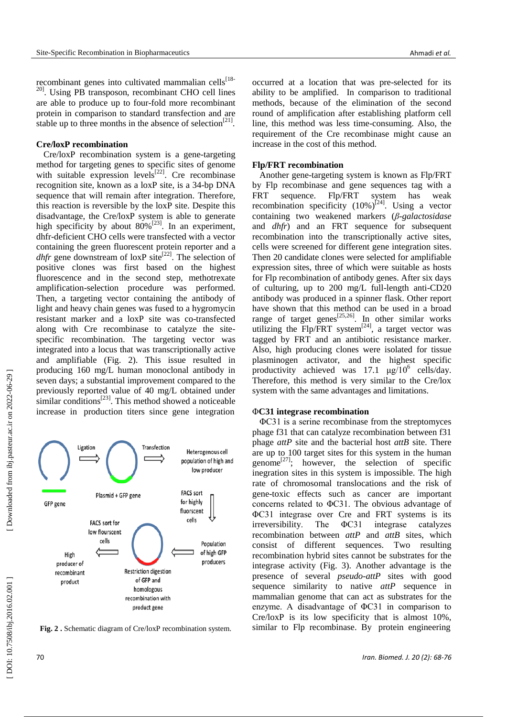recombinant genes into cultivated mammalian cells<sup>[18-</sup> <sup>20]</sup>. Using PB transposon, recombinant CHO cell lines are able to produce up to four -fold more recombinant protein in comparison to standard transfection and are stable up to three months in the absence of selection<sup>[21]</sup>.

## **Cre/loxP recombination**

Cre/loxP recombination system is a gene -targeting method for targeting genes to specific sites of genome with suitable expression levels<sup>[22]</sup>. Cre recombinase recognition site, known as a loxP site, is a 34 -bp DNA sequence that will remain after integration. Therefore, this reaction is reversible by the loxP site. Despite this disadvantage, the Cre/loxP system is able to generate high specificity by about  $80\%^{[23]}$ . In an experiment, dhfr -deficient CHO cells were transfected with a vector containing the green fluorescent protein reporter and a *dhfr* gene downstream of loxP site<sup>[22]</sup>. The selection of positive clones was first based on the highest fluorescence and in the second step, methotrexate amplification -selection procedure was performed. Then, a targeting vector containing the antibody of light and heavy chain genes was fused to a hygromycin resistant marker and a loxP site was co -transfected along with Cre recombinase to catalyze the site specific recombination. The targeting vector was integrated into a locus that was transcriptionally active and amplifiable (Fig. 2). This issue resulted in producing 160 mg/L human monoclonal antibody in seven days; a substantial improvement compared to the previously reported value of 40 mg/L obtained under similar conditions $^{[23]}$ . This method showed a noticeable increase in production titers since gene integration



**Fig. 2 .** Schematic diagram of Cre/loxP recombination system.

occurred at a location that was pre -selected for its ability to be amplified. In comparison to traditional methods, because of the elimination of the second round of amplification after establishing platform cell line, this method was less time -consuming. Also, the requirement of the Cre recombinase might cause an increase in the cost of this method.

#### **Flp/FRT recombination**

Another gene -targeting system is known as Flp/FRT by Flp recombinase and gene sequences tag with a FRT sequence. Flp/FRT system has weak recombination specificity  $(10\%)^{[24]}$ . Using a vector containing two weakened markers (*β -galactosidase* and *dhfr*) and an FRT sequence for subsequent recombination into the transcriptionally active sites, cells were screened for different gene integration sites. Then 20 candidate clones were selected for amplifiable expression sites, three of which were suitable as hosts for Flp recombination of antibody genes. After six days of culturing, up to 200 mg/L full -length anti -CD20 antibody was produced in a spinner flask. Other report have shown that this method can be used in a broad range of target genes<sup>[25,26]</sup>. In other similar works utilizing the  $Flp/FRT$  system<sup>[24]</sup>, a target vector was tagged by FRT and an antibiotic resistance marker. Also, high producing clones were isolated for tissue plasminogen activator, and the highest specific productivity achieved was  $17.1 \text{ }\mu\text{g}/10^6 \text{ cells/day.}$ Therefore, this method is very similar to the Cre/lox system with the same advantages and limitations.

#### Φ**C31 integrase recombination**

ΦC31 is a serine recombinase from the streptomyces phage f31 that can catalyze recombination between f31 phage *attP* site and the bacterial host *attB* site. There are up to 100 target sites for this system in the human genome<sup>[27]</sup>; however, the selection of specific in egration sites in this system is impossible. The high rate of chromosomal translocations and the risk of gene -toxic effects such as cancer are important concerns related to ΦC31. The obvious advantage of ΦC31 integrase over Cre and FRT systems is its irreversibility. The ΦC31 integrase catalyzes recombination between *attP* and *attB* site s, which consist of different sequences. Two resulting recombination hybrid sites cannot be substrates for the integrase activity (Fig. 3). Another advantage is the presence of several *pseudo-attP* sites with good sequence similarity to native *attP* sequence in mammalian genome that can act as substrates for the enzyme. A disadvantage of ΦC31 in comparison to Cre/ loxP is its low specificity that is almost 10%, similar to Flp recombinase. By protein engineering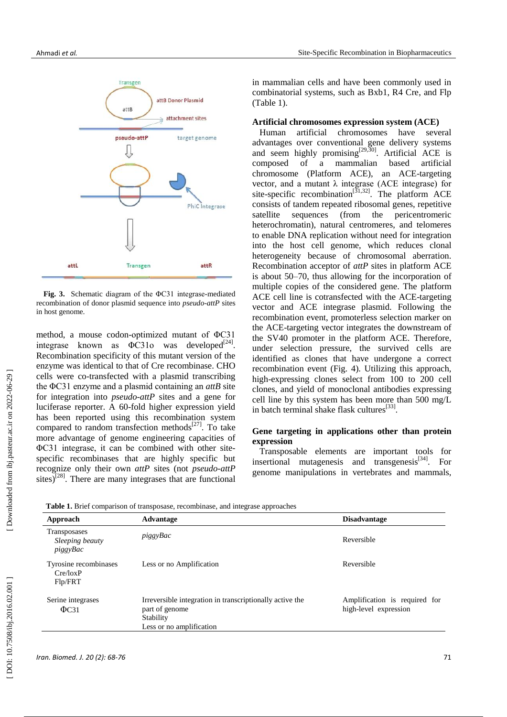



Fig. 3. Schematic diagram of the  $\Phi$ C31 integrase-mediated recombination of donor plasmid sequence into *pseudo -attP* sites in host genome.

method, a mouse codon -optimized mutant of ΦC31 integrase known as  $\Phi$ C31o was developed<sup>[24]</sup>. Recombination specificity of this mutant version of the enzyme was identical to that of Cre recombinase. CHO cells were co -transfected with a plasmid transcribing the ΦC31 enzyme and a plasmid containing an *attB* site for integration into *pseudo-attP* sites and a gene for luciferase reporter. A 60 -fold higher expression yield has been reported using this recombination system compared to random transfection methods $^{[27]}$ . To take more advantage of genome engineering capacities of ΦC31 integrase, it can be combined with other site specific recombinases that are highly specific but recognize only their own *attP* sites (not *pseudo-attP* sites)<sup>[28]</sup>. There are many integrases that are functional in mammalian cells and have been commonly used in combinatorial systems, such as Bxb1, R4 Cre , and Flp (Table 1).

#### **Artificial chromosomes expression system (ACE)**

Human artificial chromosomes have several advantages over conventional gene delivery systems and seem highly promising<sup>[29,30]</sup>. Artificial ACE is composed of a mammalian based artificial chromosome (Platform ACE), an ACE -targeting vector, and a mutant  $\lambda$  integrase (ACE integrase) for site-specific recombination<sup>[31,32]</sup>. The platform ACE consists of tandem repeated ribosomal genes, repetitive satellite sequences (from the pericentromeric heterochromatin), natural centromeres , and telomeres to enable DNA replication without need for integration into the host cell genome, which reduces clonal heterogeneity because of chromosomal aberration. Recombination acceptor of *attP* sites in platform ACE is about 50 –70, thus allowing for the incorporation of multiple copies of the considered gene. The platform ACE cell line is cotransfected with the ACE -targeting vector and ACE integrase plasmid. Following the recombination event, promoterless selection marker on the ACE -targeting vector integrates the downstream of the SV40 promoter in the platform ACE. Therefore, under selection pressure, the survived cells are identified as clones that have undergone a correct recombination event (Fig. 4). Utilizing this approach, high -expressing clones select from 100 to 200 cell clones, and yield of monoclonal antibodies expressing cell line by this system has been more than 500 mg/L in batch terminal shake flask cultures<sup>[33]</sup>.

## **Gene targeting in applications other than protein expression**

Transposable elements are important tools for insertional mutagenesis and transgenesis<sup>[34]</sup>. For genome manipulations in vertebrates and mammals,

 **Table 1.** Brief comparison of transposase, recombinase , and integrase approaches

| Approach                                           | Advantage                                                                                                           | <b>Disadvantage</b>                                    |
|----------------------------------------------------|---------------------------------------------------------------------------------------------------------------------|--------------------------------------------------------|
| <b>Transposases</b><br>Sleeping beauty<br>piggyBac | piggyBac                                                                                                            | Reversible                                             |
| Tyrosine recombinases<br>Cre/loxP<br>Flp/FRT       | Less or no Amplification                                                                                            | Reversible                                             |
| Serine integrases<br>$\Phi$ C31                    | Irreversible integration in transcriptionally active the<br>part of genome<br>Stability<br>Less or no amplification | Amplification is required for<br>high-level expression |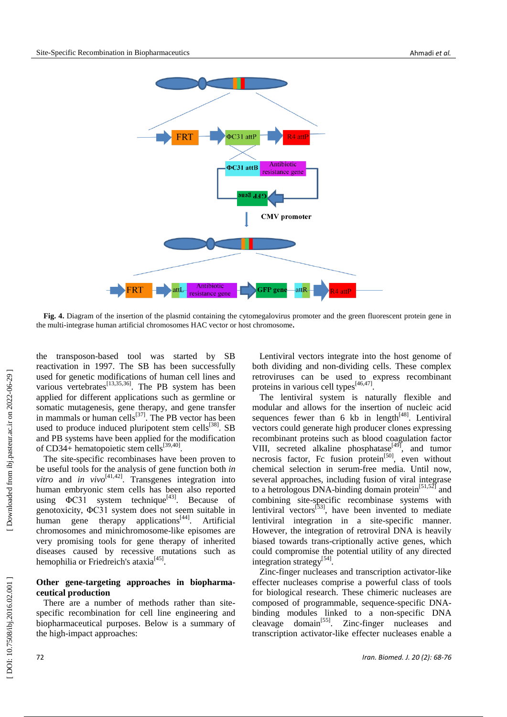

**Fig. 4.** Diagram of the insertion of the plasmid containing the cytomegalovirus promoter and the green fluorescent protein gene in the multi -integrase human artificial chromosomes HAC vector or host chromosome **.**

the transposon -based tool was started by SB reactivation in 1997. The SB has been successfully used for genetic modifications of human cell lines and various vertebrates<sup>[13,35,36]</sup>. The PB system has been applied for different applications such as germline or somatic mutagenesis, gene therapy , and gene transfer in mammals or human cells $^{[37]}$ . The PB vector has been used to produce induced pluripotent stem cells<sup>[38]</sup>. SB and PB systems have been applied for the modification of CD34+ hematopoietic stem cells<sup>[39,40]</sup>.

The site -specific recombinases have been proven to be useful tools for the analysis of gene function both *in*   $vitro$  and *in vivo*<sup>[41,42]</sup>. Transgenes integration into human embryonic stem cells has been also reported using  $\Phi$ C31 system technique<sup>[43]</sup>. Because of genotoxicity, ΦC31 system does not seem suitable in human gene therapy applications  $[44]$ . Artificial chromosomes and minichromosome -like episomes are very promising tools for gene therapy of inherited diseases caused by recessive mutations such as hemophilia or Friedreich's ataxia<sup>[45]</sup>.

### **Other gene -targeting approaches in biopharma ceutical production**

There are a number of methods rather than sitespecific recombination for cell line engineering and biopharmaceutical purposes. Below is a summary of the high -impact approaches:

Lentiviral vectors integrate into the host genome of both dividing and non -dividing cells. These complex retroviruses can be used to express recombinant proteins in various cell types<sup>[46,47]</sup>.

The lentiviral system is naturally flexible and modular and allows for the insertion of nucleic acid sequences fewer than  $6 \text{ kb}$  in length<sup>[48]</sup>. Lentiviral vectors could generate high producer clones expressing recombinant proteins such as blood coagulation factor VIII, secreted alkaline phosphatase<sup>[49]</sup>, and tumor necrosis factor, Fc fusion protein<sup>[50]</sup>, even without chemical selection in serum -free media. Until now, several approaches, including fusion of viral integrase to a hetrologous DNA-binding domain protein $[51,52]$  and combining site -specific recombinase systems with lentiviral vectors<sup>[53]</sup>, have been invented to mediate lentiviral integration in a site -specific manner. However, the integration of retroviral DNA is heavily biased towards trans -criptionally active genes , which could compromise the potential utility of any directed integration strategy<sup>[54]</sup>.

Zinc -finger nucleases and transcription activator -like effecter nucleases comprise a powerful class of tools for biological research. These chimeric nucleases are composed of programmable, sequence -specific DNA binding modules linked to a non -specific DNA cleavage [55]. Zinc-finger nucleases and transcription activator -like effecter nucleases enable a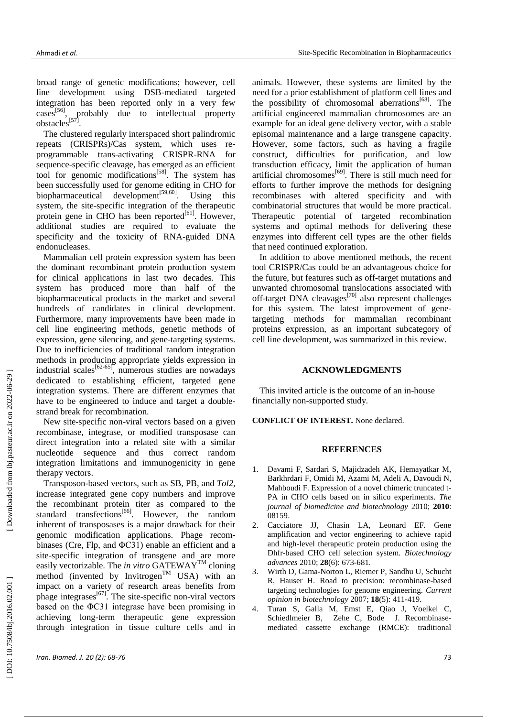broad range of genetic modifications; however, cell line development using DSB -mediated targeted integration has been reported only in a very few cases<sup>[56]</sup>, probably due to intellectual property obstacles<sup>[57]</sup>.

The clustered regularly interspaced short palindromic repeats (CRISPRs)/Cas system, which uses reprogrammable trans -activating CRISPR -RNA for sequence -specific cleavage, has emerged as an efficient tool for genomic modifications<sup>[58]</sup>. The system has been successfully used for genome editing in CHO for biopharmaceutical development<sup>[59,60]</sup>. Using this system, the site -specific integration of the therapeutic protein gene in CHO has been reported<sup>[61]</sup>. However, additional studies are required to evaluate the specificity and the toxicity of RNA -guided DNA endonucleases.

Mammalian cell protein expression system has been the dominant recombinant protein production system for clinical applications in last two decades. This system has produced more than half of the biopharmaceutical products in the market and several hundreds of candidates in clinical development. Furthermore, many improvements have been made in cell line engineering methods, genetic methods of expression, gene silencing, and gene -targeting systems. Due to inefficiencies of traditional random integration method s in producing appropriate yields expression in industrial scales<sup>[62-65]</sup>, numerous studies are nowadays dedicated to establishing efficient , targeted gene integration systems. There are different enzymes that have to be engineered to induce and target a double strand break for recombination.

New site -specific non -viral vectors based on a given recombinase, integrase , or modified transposase can direct integration into a related site with a similar nucleotide sequence and thus correct random integration limitations and immunogenicity in gene therapy vectors.

Transposon -based vectors, such as SB, PB , and *Tol2*, increase integrated gene copy numbers and improve the recombinant protein titer as compared to the standard transfections<sup>[66]</sup>. However, the random inherent of transposases is a major drawback for their genomic modification applications. Phage recom binases (Cre, Flp, and ΦC31) enable an efficient and a site -specific integration of transgene and are more easily vectorizable. The *in vitro* GATEWAYTM cloning method (invented by Invitrogen<sup>TM</sup> USA) with an impact on a variety of research areas benefits from phage integrases<sup>[67]</sup>. The site-specific non-viral vectors based on the ΦC31 integrase have been promising in achieving long -term therapeutic gene expression through integration in tissue culture cells and in

animals. However, these systems are limited by the need for a prior establishment of platform cell lines and the possibility of chromosomal aberrations<sup>[68]</sup>. The artificial engineered mammalian chromosomes are an example for an ideal gene delivery vector, with a stable episomal maintenance and a large transgene capacity. However, some factors, such as having a fragile construct, difficulties for purification, and low transduction efficacy, limit the application of human artificial chromosomes [69 ] . There is still much need for efforts to further improve the methods for designing recombinases with altered specificity and with combinatorial structures that would be more practical. Therapeutic potential of targeted recombination systems and optimal methods for delivering these enzymes into different cell types are the other fields that need continued exploration.

In addition to above mentioned methods, the recent tool CRISPR/Cas could be an advantageous choice for the future, but features such as off-target mutations and unwanted chromosomal translocations associated with off-target DNA cleavages<sup>[70]</sup> also represent challenges for this system. The latest improvement of genetargeting methods for mammalian recombinant proteins expression, as an important subcategory of cell line development, was summarized in this review.

## **ACKNOWLEDGMENTS**

This invited article is the outcome of an in -house financially non -supported study.

**CONFLICT OF INTEREST.** None declared .

## **REFERENCES**

- 1 . [Davami F,](http://www.ncbi.nlm.nih.gov/pubmed?term=Davami%20F%5BAuthor%5D&cauthor=true&cauthor_uid=20885932) [Sardari S,](http://www.ncbi.nlm.nih.gov/pubmed?term=Sardari%20S%5BAuthor%5D&cauthor=true&cauthor_uid=20885932) [Majidzadeh AK,](http://www.ncbi.nlm.nih.gov/pubmed?term=Majidzadeh-A%20K%5BAuthor%5D&cauthor=true&cauthor_uid=20885932) [Hemayatkar M,](http://www.ncbi.nlm.nih.gov/pubmed?term=Hemayatkar%20M%5BAuthor%5D&cauthor=true&cauthor_uid=20885932) [Barkhrdari F,](http://www.ncbi.nlm.nih.gov/pubmed?term=Barkhrdari%20F%5BAuthor%5D&cauthor=true&cauthor_uid=20885932) [Omidi M,](http://www.ncbi.nlm.nih.gov/pubmed?term=Omidi%20M%5BAuthor%5D&cauthor=true&cauthor_uid=20885932) Azami M, Adeli A, Davoudi N, Mahboudi F. Expression of a novel chimeric truncated t - PA in CHO cells based on in silico experiments. *The journal of biomedicine and biotechnology* 2010; **2010**: 08159.
- 2 . Cacciatore JJ, Chasin LA, Leonard EF. Gene amplification and vector engineering to achieve rapid and high -level therapeutic protein production using the Dhfr -based CHO cell selection system. *Biotechnology advances* 2010; **28**(6): 673 -681.
- 3 . [Wirth](http://www.ncbi.nlm.nih.gov/pubmed?term=Wirth%20D%5BAuthor%5D&cauthor=true&cauthor_uid=17904350) D, Gama [-Norton L,](http://www.ncbi.nlm.nih.gov/pubmed?term=Gama-Norton%20L%5BAuthor%5D&cauthor=true&cauthor_uid=17904350) [Riemer P,](http://www.ncbi.nlm.nih.gov/pubmed?term=Riemer%20P%5BAuthor%5D&cauthor=true&cauthor_uid=17904350) [Sandhu U,](http://www.ncbi.nlm.nih.gov/pubmed?term=Sandhu%20U%5BAuthor%5D&cauthor=true&cauthor_uid=17904350) [Schucht](http://www.ncbi.nlm.nih.gov/pubmed?term=Schucht%20R%5BAuthor%5D&cauthor=true&cauthor_uid=17904350)  [R,](http://www.ncbi.nlm.nih.gov/pubmed?term=Schucht%20R%5BAuthor%5D&cauthor=true&cauthor_uid=17904350) [Hauser H.](http://www.ncbi.nlm.nih.gov/pubmed?term=Hauser%20H%5BAuthor%5D&cauthor=true&cauthor_uid=17904350) Road to precision: recombinase -based targeting technologies for genome engineering. *Current opinion in biotechnology* 2007; **18**(5): 411 -419.
- 4 . [Turan S,](http://www.ncbi.nlm.nih.gov/pubmed?term=Turan%20S%5BAuthor%5D&cauthor=true&cauthor_uid=21241707) [Galla M,](http://www.ncbi.nlm.nih.gov/pubmed?term=Galla%20M%5BAuthor%5D&cauthor=true&cauthor_uid=21241707) [Emst E,](http://www.ncbi.nlm.nih.gov/pubmed?term=Ernst%20E%5BAuthor%5D&cauthor=true&cauthor_uid=21241707) [Qiao J,](http://www.ncbi.nlm.nih.gov/pubmed?term=Qiao%20J%5BAuthor%5D&cauthor=true&cauthor_uid=21241707) [Voelkel C,](http://www.ncbi.nlm.nih.gov/pubmed?term=Voelkel%20C%5BAuthor%5D&cauthor=true&cauthor_uid=21241707) [Schiedlmeier B,](http://www.ncbi.nlm.nih.gov/pubmed?term=Schiedlmeier%20B%5BAuthor%5D&cauthor=true&cauthor_uid=21241707) Zehe C, Bode J. Recombinase mediated cassette exchange (RMCE): traditional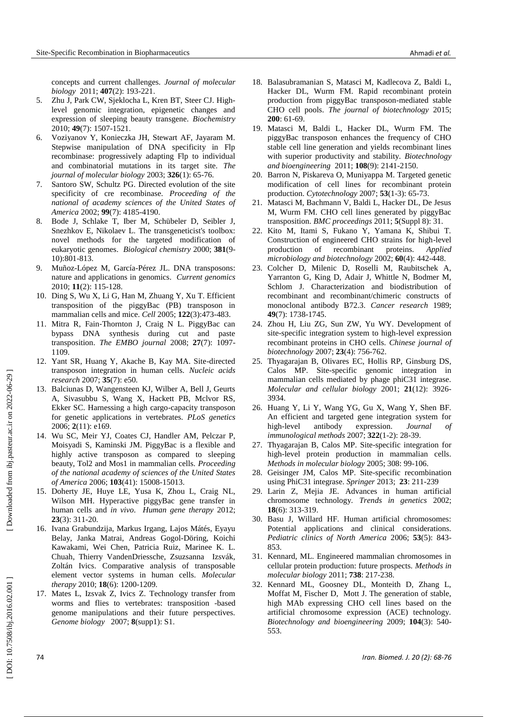concepts and current challenges. *[Journal of molecular](http://www.ncbi.nlm.nih.gov/pubmed/21241707)  [biology](http://www.ncbi.nlm.nih.gov/pubmed/21241707)* 2011; **407**(2): 193 -221 .

- 5 . [Zhu J,](http://www.ncbi.nlm.nih.gov/pubmed?term=Zhu%20J%5BAuthor%5D&cauthor=true&cauthor_uid=20041635) [Park CW,](http://www.ncbi.nlm.nih.gov/pubmed?term=Park%20CW%5BAuthor%5D&cauthor=true&cauthor_uid=20041635) [Sjeklocha L,](http://www.ncbi.nlm.nih.gov/pubmed?term=Sjeklocha%20L%5BAuthor%5D&cauthor=true&cauthor_uid=20041635) [Kren BT,](http://www.ncbi.nlm.nih.gov/pubmed?term=Kren%20BT%5BAuthor%5D&cauthor=true&cauthor_uid=20041635) [Steer CJ.](http://www.ncbi.nlm.nih.gov/pubmed?term=Steer%20CJ%5BAuthor%5D&cauthor=true&cauthor_uid=20041635) High level genomic integration, epigenetic changes and expression of sleeping beauty transgene. *[Biochemistry](http://www.ncbi.nlm.nih.gov/pubmed/20041635)* 2010; **49**(7): 1507 -1521 .
- 6 . Voziyanov Y, Konieczka JH, Stewart AF, Jayaram M. Stepwise manipulation of DNA specificity in Flp recombinase: progressively adapting Flp to individual and combinatorial mutations in its target site. *The journal of molecular biology* 2003; **326**(1): 65-76.
- 7 . Santoro SW, Schultz PG. Directed evolution of the site specificity of cre recombinase*. [Proceeding of the](http://www.ncbi.nlm.nih.gov/pubmed/11904359)  [national of academy sciences of the United States of](http://www.ncbi.nlm.nih.gov/pubmed/11904359)  [America](http://www.ncbi.nlm.nih.gov/pubmed/11904359)* 2002; **99**(7): 4185 -4190.
- 8 . Bode J, Schlake T, Iber M, Schübeler D, Seibler J, Snezhkov E, Nikolaev L. The transgeneticist's toolbox: novel methods for the targeted modification of eukaryotic genomes. *Biological chemistry* 2000; **381**(9 - 10):801 -813.
- 9 . Muñoz -López M, García -Pérez JL. DNA transposons: nature and applications in genomics. *Current genomics* 2010; **11**(2): 115 -128.
- 10 . Ding S, Wu X, Li G, Han M, Zhuang Y, Xu T. Efficient transposition of the piggyBac (PB) transposon in mammalian cells and mice. *Cell* 2005; **122**(3):473 -483.
- 11 . Mitra R, Fain ‐Thornton J, Craig N L. PiggyBac can bypass DNA synthesis during cut and paste transposition. *The EMBO journal* 2008; **27**(7): 1097 - 1109.
- 12 . Yant SR, Huang Y, Akache B, Kay MA. Site -directed transposon integration in human cells. *[Nucleic acids](http://www.ncbi.nlm.nih.gov/pubmed/17344320)  [research](http://www.ncbi.nlm.nih.gov/pubmed/17344320)* 2007; **35**(7): e50.
- 13 . Balciunas D, Wangensteen KJ, Wilber A, Bell J, Geurts A, Sivasubbu S, Wang X, Hackett PB, Mclvor RS, Ekker SC. Harnessing a high cargo -capacity transposon for genetic applications in vertebrates. *PLoS genetics* 2006; **2**(11): e169.
- 14 . [Wu SC,](http://www.ncbi.nlm.nih.gov/pubmed?term=Wu%20SC%5BAuthor%5D&cauthor=true&cauthor_uid=17005721) [Meir YJ,](http://www.ncbi.nlm.nih.gov/pubmed?term=Meir%20YJ%5BAuthor%5D&cauthor=true&cauthor_uid=17005721) [Coates CJ,](http://www.ncbi.nlm.nih.gov/pubmed?term=Coates%20CJ%5BAuthor%5D&cauthor=true&cauthor_uid=17005721) [Handler AM,](http://www.ncbi.nlm.nih.gov/pubmed?term=Handler%20AM%5BAuthor%5D&cauthor=true&cauthor_uid=17005721) [Pelczar P,](http://www.ncbi.nlm.nih.gov/pubmed?term=Pelczar%20P%5BAuthor%5D&cauthor=true&cauthor_uid=17005721) [Moisyadi S,](http://www.ncbi.nlm.nih.gov/pubmed?term=Moisyadi%20S%5BAuthor%5D&cauthor=true&cauthor_uid=17005721) Kaminski JM. PiggyBac is a flexible and highly active transposon as compared to sleeping beauty, Tol2 and Mos1 in mammalian cells. *[Proceeding](http://www.ncbi.nlm.nih.gov/pubmed/17005721)  of the [national academy of sciences of the United States](http://www.ncbi.nlm.nih.gov/pubmed/17005721)  [of America](http://www.ncbi.nlm.nih.gov/pubmed/17005721)* 2006; **103**(41): 15008 -15013.
- 15 . [Doherty JE,](http://www.ncbi.nlm.nih.gov/pubmed?term=Doherty%20JE%5BAuthor%5D&cauthor=true&cauthor_uid=21992617) [Huye LE,](http://www.ncbi.nlm.nih.gov/pubmed?term=Huye%20LE%5BAuthor%5D&cauthor=true&cauthor_uid=21992617) [Yusa K,](http://www.ncbi.nlm.nih.gov/pubmed?term=Yusa%20K%5BAuthor%5D&cauthor=true&cauthor_uid=21992617) [Zhou L,](http://www.ncbi.nlm.nih.gov/pubmed?term=Zhou%20L%5BAuthor%5D&cauthor=true&cauthor_uid=21992617) [Craig NL,](http://www.ncbi.nlm.nih.gov/pubmed?term=Craig%20NL%5BAuthor%5D&cauthor=true&cauthor_uid=21992617) [Wilson MH.](http://www.ncbi.nlm.nih.gov/pubmed?term=Wilson%20MH%5BAuthor%5D&cauthor=true&cauthor_uid=21992617) Hyperactive piggyBac gene transfer in human cells and *in vivo*. *[Human gene therapy](http://www.ncbi.nlm.nih.gov/pubmed/21992617)* 2012; **23**(3) : 311 -20 .
- 16 . [Ivana Grabundzija,](http://www.ncbi.nlm.nih.gov/pubmed/?term=Grabundzija%20I%5Bauth%5D) [Markus Irgang,](http://www.ncbi.nlm.nih.gov/pubmed/?term=Irgang%20M%5Bauth%5D) [Lajos Mátés,](http://www.ncbi.nlm.nih.gov/pubmed/?term=M%26%23x000e1%3Bt%26%23x000e9%3Bs%20L%5Bauth%5D) [Eyayu](http://www.ncbi.nlm.nih.gov/pubmed/?term=Belay%20E%5Bauth%5D)  [Belay,](http://www.ncbi.nlm.nih.gov/pubmed/?term=Belay%20E%5Bauth%5D) [Janka Matrai,](http://www.ncbi.nlm.nih.gov/pubmed/?term=Matrai%20J%5Bauth%5D) [Andreas Gogol](http://www.ncbi.nlm.nih.gov/pubmed/?term=Gogol-D%26%23x000f6%3Bring%20A%5Bauth%5D) -Döring, [Koichi](http://www.ncbi.nlm.nih.gov/pubmed/?term=Kawakami%20K%5Bauth%5D)  [Kawakami,](http://www.ncbi.nlm.nih.gov/pubmed/?term=Kawakami%20K%5Bauth%5D) [Wei Chen,](http://www.ncbi.nlm.nih.gov/pubmed/?term=Chen%20W%5Bauth%5D) [Patricia Ruiz,](http://www.ncbi.nlm.nih.gov/pubmed/?term=Ruiz%20P%5Bauth%5D) [Marinee K. L.](http://www.ncbi.nlm.nih.gov/pubmed/?term=Chuah%20MK%5Bauth%5D)  [Chuah,](http://www.ncbi.nlm.nih.gov/pubmed/?term=Chuah%20MK%5Bauth%5D) [Thierry VandenDriessche,](http://www.ncbi.nlm.nih.gov/pubmed/?term=VandenDriessche%20T%5Bauth%5D) [Zsuzsanna Izsvák,](http://www.ncbi.nlm.nih.gov/pubmed/?term=Izsv%26%23x000e1%3Bk%20Z%5Bauth%5D) Zoltán Ivics. Comparative analysis of transposable element vector systems in human cells. *Molecular therapy* 2010; **18**(6) : 1200 -1209 .
- 17 . Mates L, Izsvak Z, Ivics Z. Technology transfer from worms and flies to vertebrates: transposition -based genome manipulations and their future perspectives. *Genome biology* 2007; **8**(supp1): S1.
- 18 . [Balasubramanian S,](http://www.ncbi.nlm.nih.gov/pubmed/?term=Balasubramanian%20S%5BAuthor%5D&cauthor=true&cauthor_uid=25758242) [Matasci M,](http://www.ncbi.nlm.nih.gov/pubmed/?term=Matasci%20M%5BAuthor%5D&cauthor=true&cauthor_uid=25758242) [Kadlecova Z,](http://www.ncbi.nlm.nih.gov/pubmed/?term=Kadlecova%20Z%5BAuthor%5D&cauthor=true&cauthor_uid=25758242) [Baldi L,](http://www.ncbi.nlm.nih.gov/pubmed/?term=Baldi%20L%5BAuthor%5D&cauthor=true&cauthor_uid=25758242) [Hacker DL,](http://www.ncbi.nlm.nih.gov/pubmed/?term=Hacker%20DL%5BAuthor%5D&cauthor=true&cauthor_uid=25758242) [Wurm FM.](http://www.ncbi.nlm.nih.gov/pubmed/?term=Wurm%20FM%5BAuthor%5D&cauthor=true&cauthor_uid=25758242) Rapid recombinant protein production from piggyBac transposon -mediated stable CHO cell pools. *The [journal of biotechnology](http://www.ncbi.nlm.nih.gov/pubmed/25758242)* 2015; **200** : 61 -69.
- 19 . [Matasci M,](http://www.ncbi.nlm.nih.gov/pubmed/?term=Matasci%20M%5BAuthor%5D&cauthor=true&cauthor_uid=21495018) [Baldi L,](http://www.ncbi.nlm.nih.gov/pubmed/?term=Baldi%20L%5BAuthor%5D&cauthor=true&cauthor_uid=21495018) [Hacker DL,](http://www.ncbi.nlm.nih.gov/pubmed/?term=Hacker%20DL%5BAuthor%5D&cauthor=true&cauthor_uid=21495018) [Wurm FM.](http://www.ncbi.nlm.nih.gov/pubmed/?term=Wurm%20FM%5BAuthor%5D&cauthor=true&cauthor_uid=21495018) The piggyBac transposon enhances the frequency of CHO stable cell line generation and yields recombinant lines with superior productivity and stability. *[Biotechnology](http://www.ncbi.nlm.nih.gov/pubmed/21495018)  [and bioengineering](http://www.ncbi.nlm.nih.gov/pubmed/21495018)* 2011; **108**(9): 2141 -2150.
- 20 . [Barron](http://www.ncbi.nlm.nih.gov/pubmed/?term=Barron%20N%5Bauth%5D) N, [Piskareva](http://www.ncbi.nlm.nih.gov/pubmed/?term=Piskareva%20O%5Bauth%5D) O[, Muniyappa](http://www.ncbi.nlm.nih.gov/pubmed/?term=Muniyappa%20M%5Bauth%5D) M. Targeted genetic modification of cell lines for recombinant protein production. *Cytotechnology* 2007; **53**(1 -3): 65 -73.
- 21 . Matasci M, Bachmann V, Baldi L, Hacker DL, De Jesus M, Wurm FM. CHO cell lines generated by piggyBac transposition. *BMC proceedings* 2011; **5**(Suppl 8): 31.
- 22 . Kito M, Itami S, Fukano Y, Yamana K, Shibui T. Construction of engineered CHO strains for high -level production of recombinant proteins. *Applied microbiology and biotechnology* 2002; **60**(4): 442 -448.
- 23 . Colcher D, Milenic D, Roselli M, Raubitschek A, Yarranton G, King D, Adair J, Whittle N, Bodmer M, Schlom J. Characterization and biodistribution of recombinant and recombinant/chimeric constructs of monoclonal antibody B72.3. *Cancer research* 1989; **49**(7): 1738 -1745.
- 24 . Zhou H, Liu ZG, Sun ZW, Yu WY. Development of site -specific integration system to high -level expression recombinant proteins in CHO cells. *Chinese journal of biotechnology* 2007; **23**(4): 756 -762.
- 25 . [Thyagarajan B,](http://www.ncbi.nlm.nih.gov/pubmed?term=Thyagarajan%20B%5BAuthor%5D&cauthor=true&cauthor_uid=11359900) [Olivares EC,](http://www.ncbi.nlm.nih.gov/pubmed?term=Olivares%20EC%5BAuthor%5D&cauthor=true&cauthor_uid=11359900) [Hollis RP,](http://www.ncbi.nlm.nih.gov/pubmed?term=Hollis%20RP%5BAuthor%5D&cauthor=true&cauthor_uid=11359900) [Ginsburg DS,](http://www.ncbi.nlm.nih.gov/pubmed?term=Ginsburg%20DS%5BAuthor%5D&cauthor=true&cauthor_uid=11359900) [Calos MP.](http://www.ncbi.nlm.nih.gov/pubmed?term=Calos%20MP%5BAuthor%5D&cauthor=true&cauthor_uid=11359900) Site -specific genomic integration in mammalian cells mediated by phage phiC31 integrase. *[Molecular and cellular biology](http://www.ncbi.nlm.nih.gov/pubmed/11359900)* 2001; **21**(12): 3926 - 3934.
- 26 . [Huang Y,](http://www.ncbi.nlm.nih.gov/pubmed/?term=Huang%20Y%5BAuthor%5D&cauthor=true&cauthor_uid=17350648) [Li Y,](http://www.ncbi.nlm.nih.gov/pubmed/?term=Li%20Y%5BAuthor%5D&cauthor=true&cauthor_uid=17350648) [Wang YG,](http://www.ncbi.nlm.nih.gov/pubmed/?term=Wang%20YG%5BAuthor%5D&cauthor=true&cauthor_uid=17350648) [Gu X,](http://www.ncbi.nlm.nih.gov/pubmed/?term=Gu%20X%5BAuthor%5D&cauthor=true&cauthor_uid=17350648) [Wang Y,](http://www.ncbi.nlm.nih.gov/pubmed/?term=Wang%20Y%5BAuthor%5D&cauthor=true&cauthor_uid=17350648) [Shen BF.](http://www.ncbi.nlm.nih.gov/pubmed/?term=Shen%20BF%5BAuthor%5D&cauthor=true&cauthor_uid=17350648) An efficient and targeted gene integration system for high antibody expression. *Journal of [immunological methods](http://www.ncbi.nlm.nih.gov/pubmed/17350648)* 2007; **322**(1 -2): 28 -39.
- 27 . Thyagarajan B, Calos MP. Site -specific integration for high -level protein production in mammalian cells. *Methods in molecular biology* 2005; 308: 99 -106.
- 28 . Geisinger JM, Calos MP. Site -specific recombination using PhiC31 integrase. *Springer* 2013; **23** : 211 -239
- 29 . Larin Z, Mejia JE. Advances in human artificial chromosome technology. *Trends in genetics* 2002; **18**(6): 313 -319.
- 30 . Basu J, Willard HF. Human artificial chromosomes: Potential applications and clinical considerations. *Pediatric clinics of North America* 2006; **53**(5): 843 - 853.
- 31 . Kennard, ML. Engineered mammalian chromosomes in cellular protein production: future prospects. *Methods in molecular biology* 2011; **738**: 217 -238.
- 32 . Kennard ML, Goosney DL, Monteith D, Zhang L, Moffat M, Fischer D, Mott J. The generation of stable, high MAb expressing CHO cell lines based on the artificial chromosome expression (ACE) technology. *Biotechnology and bioengineering* 2009; **104**(3): 540 - 553.

DOI: 10.7508/ibj.2016.02.001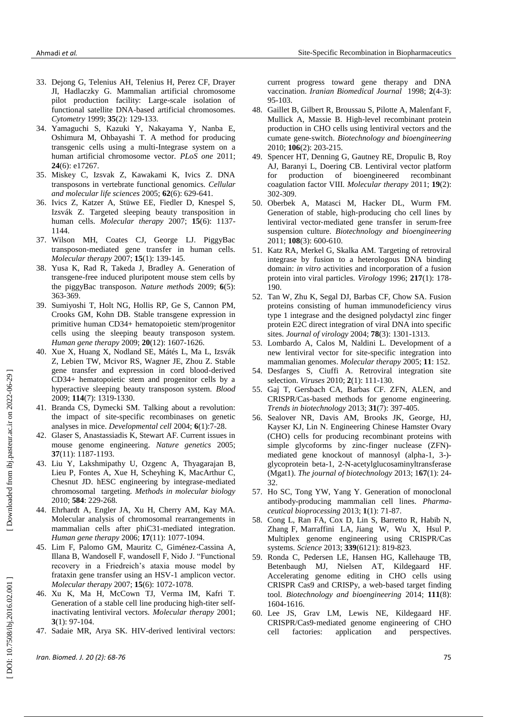- 33 . Dejong G, Telenius AH, Telenius H, Perez CF, Drayer JI, Hadlaczky G. Mammalian artificial chromosome pilot production facility: Large -scale isolation of functional satellite DNA -based artificial chromosomes. *Cytometry* 1999; **35**(2): 129 -133.
- 34 . Yamaguchi S, Kazuki Y, Nakayama Y, Nanba E, Oshimura M, Ohbayashi T. A method for producing transgenic cells using a multi -Integrase system on a human artificial chromosome vector. *PLoS one* 2011; **24**(6): e17267.
- 35 . Miskey C, Izsvak Z, Kawakami K, Ivics Z. DNA transposons in vertebrate functional genomics*. [Cellular](http://www.ncbi.nlm.nih.gov/pubmed/15770416)  [and molecular life sciences](http://www.ncbi.nlm.nih.gov/pubmed/15770416)* 2005; **62**(6): 629 -641.
- 36 . Ivics Z, Katzer A, Stüwe EE, Fiedler D, Knespel S, Izsvák Z. Targeted sleeping beauty transposition in human cells. *Molecular therapy* 2007; **15**(6): 1137 - 1144.
- 37 . Wilson MH, Coates CJ, George LJ. PiggyBac transposon -mediated gene transfer in human cells. *Molecular therapy* 2007; **15**(1): 139 -145.
- 38 . Yusa K, Rad R, Takeda J, Bradley A. Generation of transgene -free induced pluripotent mouse stem cells by the piggyBac transposon. *Nature methods* 2009; **6**(5): 363 -369.
- 39 . [Sumiyoshi T,](http://www.ncbi.nlm.nih.gov/pubmed?term=Sumiyoshi%20T%5BAuthor%5D&cauthor=true&cauthor_uid=19689196) [Holt NG,](http://www.ncbi.nlm.nih.gov/pubmed?term=Holt%20NG%5BAuthor%5D&cauthor=true&cauthor_uid=19689196) [Hollis RP,](http://www.ncbi.nlm.nih.gov/pubmed?term=Hollis%20RP%5BAuthor%5D&cauthor=true&cauthor_uid=19689196) [Ge S,](http://www.ncbi.nlm.nih.gov/pubmed?term=Ge%20S%5BAuthor%5D&cauthor=true&cauthor_uid=19689196) [Cannon PM,](http://www.ncbi.nlm.nih.gov/pubmed?term=Cannon%20PM%5BAuthor%5D&cauthor=true&cauthor_uid=19689196) [Crooks GM,](http://www.ncbi.nlm.nih.gov/pubmed?term=Crooks%20GM%5BAuthor%5D&cauthor=true&cauthor_uid=19689196) [Kohn DB.](http://www.ncbi.nlm.nih.gov/pubmed?term=Kohn%20DB%5BAuthor%5D&cauthor=true&cauthor_uid=19689196) Stable transgene expression in primitive human CD34+ hematopoietic stem/progenitor cells using the sleeping beauty transposon system. *[Human gene therapy](http://www.ncbi.nlm.nih.gov/pubmed/19689196)* 2009; **20**(12): 1607 -1626.
- 40. Xue X, Huang X, Nodland SE, Mátés L, Ma L, Izsvák Z, Lebien TW, Mcivor RS, Wagner JE, Zhou Z. Stable gene transfer and expression in cord blood -derived CD34+ hematopoietic stem and progenitor cells by a hyperactive sleeping beauty transposon system. *[Blood](http://www.ncbi.nlm.nih.gov/pubmed/19414858)* 2009; **114**(7): 1319 -1330.
- 41 . [Branda CS,](http://www.ncbi.nlm.nih.gov/pubmed/?term=Branda%20CS%5BAuthor%5D&cauthor=true&cauthor_uid=14723844) [Dymecki SM.](http://www.ncbi.nlm.nih.gov/pubmed/?term=Dymecki%20SM%5BAuthor%5D&cauthor=true&cauthor_uid=14723844) Talking about a revolution: the impact of site -specific recombinases on genetic analyses in mice. *[Developmental cell](http://www.ncbi.nlm.nih.gov/pubmed/14723844)* 2004; **6**(1):7 -28.
- 42 . Glaser S, Anastassiadis K, Stewart AF. Current issues in mouse genome engineering. *Nature genetics* 2005; **37**(11): 1187 -1193.
- 43 . [Liu Y,](http://www.ncbi.nlm.nih.gov/pubmed?term=Liu%20Y%5BAuthor%5D&cauthor=true&cauthor_uid=19907981) [Lakshmipathy U,](http://www.ncbi.nlm.nih.gov/pubmed?term=Lakshmipathy%20U%5BAuthor%5D&cauthor=true&cauthor_uid=19907981) [Ozgenc A,](http://www.ncbi.nlm.nih.gov/pubmed?term=Ozgenc%20A%5BAuthor%5D&cauthor=true&cauthor_uid=19907981) [Thyagarajan B,](http://www.ncbi.nlm.nih.gov/pubmed?term=Thyagarajan%20B%5BAuthor%5D&cauthor=true&cauthor_uid=19907981) [Lieu P,](http://www.ncbi.nlm.nih.gov/pubmed?term=Lieu%20P%5BAuthor%5D&cauthor=true&cauthor_uid=19907981) [Fontes A,](http://www.ncbi.nlm.nih.gov/pubmed?term=Fontes%20A%5BAuthor%5D&cauthor=true&cauthor_uid=19907981) [Xue H,](http://www.ncbi.nlm.nih.gov/pubmed?term=Xue%20H%5BAuthor%5D&cauthor=true&cauthor_uid=19907981) [Scheyhing K,](http://www.ncbi.nlm.nih.gov/pubmed?term=Scheyhing%20K%5BAuthor%5D&cauthor=true&cauthor_uid=19907981) [MacArthur C,](http://www.ncbi.nlm.nih.gov/pubmed?term=MacArthur%20C%5BAuthor%5D&cauthor=true&cauthor_uid=19907981) [Chesnut JD.](http://www.ncbi.nlm.nih.gov/pubmed?term=Chesnut%20JD%5BAuthor%5D&cauthor=true&cauthor_uid=19907981) hESC engineering by integrase -mediated chromosomal targeting. *Methods in molecular biology* 2010; **584**: 229 -268.
- 44 . [Ehrhardt A,](http://www.ncbi.nlm.nih.gov/pubmed?term=Ehrhardt%20A%5BAuthor%5D&cauthor=true&cauthor_uid=17069535) [Engler JA,](http://www.ncbi.nlm.nih.gov/pubmed?term=Engler%20JA%5BAuthor%5D&cauthor=true&cauthor_uid=17069535) [Xu H,](http://www.ncbi.nlm.nih.gov/pubmed?term=Xu%20H%5BAuthor%5D&cauthor=true&cauthor_uid=17069535) [Cherry AM,](http://www.ncbi.nlm.nih.gov/pubmed?term=Cherry%20AM%5BAuthor%5D&cauthor=true&cauthor_uid=17069535) [Kay MA.](http://www.ncbi.nlm.nih.gov/pubmed?term=Kay%20MA%5BAuthor%5D&cauthor=true&cauthor_uid=17069535) Molecular analysis of chromosomal rearrangements in mammalian cells after phiC31 -mediated integration. *Human gene therapy* 2006; **17**(11): 1077 -1094.
- 45 . [Lim F,](http://www.ncbi.nlm.nih.gov/pubmed?term=Lim%20F%5BAuthor%5D&cauthor=true&cauthor_uid=17375064) [Palomo GM,](http://www.ncbi.nlm.nih.gov/pubmed?term=Palomo%20GM%5BAuthor%5D&cauthor=true&cauthor_uid=17375064) [Mauritz C,](http://www.ncbi.nlm.nih.gov/pubmed?term=Mauritz%20C%5BAuthor%5D&cauthor=true&cauthor_uid=17375064) Giménez [-Cassina A,](http://www.ncbi.nlm.nih.gov/pubmed?term=Gim%C3%A9nez-Cassina%20A%5BAuthor%5D&cauthor=true&cauthor_uid=17375064) [Illana B,](http://www.ncbi.nlm.nih.gov/pubmed?term=Illana%20B%5BAuthor%5D&cauthor=true&cauthor_uid=17375064) [Wandosell F,](http://www.ncbi.nlm.nih.gov/pubmed?term=Wandosell%20F%5BAuthor%5D&cauthor=true&cauthor_uid=17375064) wandosell F, Nido J. "Functional recovery in a Friedreich's ataxia mouse model by frataxin gene transfer using an HSV -1 amplicon vector. *[Molecular thera](http://www.ncbi.nlm.nih.gov/pubmed/17375064)py* 2007; **15**(6): 1072 -1078.
- 46 . Xu K, Ma H, McCown TJ, Verma IM, Kafri T. Generation of a stable cell line producing high -titer selfinactivating lentiviral vectors. *Molecular therapy* 2001; **3**(1): 97-104.
- 47 . Sadaie MR, Arya SK. HIV -derived lentiviral vectors:

current progress toward gene therapy and DNA vaccination. *Iranian Biomedical Journal* 1998; **2**(4 -3): 95 -103 .

- 48 . Gaillet B, Gilbert R, Broussau S, Pilotte A, Malenfant F, Mullick A, Massie B. High ‐level recombinant protein production in CHO cells using lentiviral vectors and the cumate gene ‐switch. *Biotechnology and bioengineering* 2010; **106**(2): 203 -215.
- 49 . Spencer HT, Denning G, Gautney RE, Dropulic B, Roy AJ, Baranyi L, Doering CB. Lentiviral vector platform for production of bioengineered recombinant coagulation factor VIII. *Molecular therapy* 2011; **19**(2): 302 -309.
- 50 . Oberbek A, Matasci M, Hacker DL, Wurm FM. Generation of stable, high ‐producing cho cell lines by lentiviral vector ‐mediated gene transfer in serum ‐free suspension culture. *Biotechnology and bioengineering*  2011; **108**(3): 600 -610.
- 51 . Katz RA, Merkel G, Skalka AM. Targeting of retroviral integrase by fusion to a heterologous DNA binding domain: *in vitro* activities and incorporation of a fusion protein into viral particles. *Virology* 1996; **217**(1): 178 - 190.
- 52 . Tan W, Zhu K, Segal DJ, Barbas CF, Chow SA. Fusion proteins consisting of human immunodeficiency virus type 1 integrase and the designed polydactyl zinc finger protein E2C direct integration of viral DNA into specific sites. *Journal of virology* 2004; **78**(3): 1301 -1313.
- 53 . Lombardo A, Calos M, Naldini L. Development of a new lentiviral vector for site -specific integration into mammalian genomes. *Molecular therapy* 2005; **11** : 152.
- 54 . Desfarges S, Ciuffi A. Retroviral integration site selection. *Viruses* 2010; **2**(1): 111 -130.
- 55 . Gaj T, Gersbach CA, Barbas CF. ZFN, ALEN, and CRISPR/Cas -based methods for genome engineering. *Trends in biotechnology* 2013; **31**(7): 397 -405.
- 56 . Sealover NR, Davis AM, Brooks JK, George, HJ, Kayser KJ, Lin N. Engineering Chinese Hamster Ovary (CHO) cells for producing recombinant proteins with simple glycoforms by zinc -finger nuclease (ZFN) mediated gene knockout of mannosyl (alpha-1, 3-)glycoprotein beta -1, 2 - N -acetylglucosaminyltransferase (Mgat1). *The journal of biotechnology* 2013; 1**67**(1): 24 - 32.
- 57 . Ho SC, Tong YW, Yang Y. Generation of monoclonal antibody -producing mammalian cell lines. *Pharma ceutical bioprocessing* 2013; **1**(1): 71 -87.
- 58 . Cong L, Ran FA, Cox D, Lin S, Barretto R, Habib N, Zhang F, Marraffini LA, Jiang W, Wu X, Hsul P. Multiplex genome engineering using CRISPR/Cas systems. *Science* 2013; **339**(6121): 819 -823.
- 59 . Ronda C, Pedersen LE, Hansen HG, Kallehauge TB, Betenbaugh MJ, Nielsen AT, Kildegaard HF. Accelerating genome editing in CHO cells using CRISPR Cas9 and CRISPy, a web ‐based target finding tool. *Biotechnology and bioengineering* 2014; **111**(8): 1604 -1616.
- 60 . Lee JS, Grav LM, Lewis NE, Kildegaard HF. CRISPR/Cas9 ‐mediated genome engineering of CHO cell factories: application and perspectives.